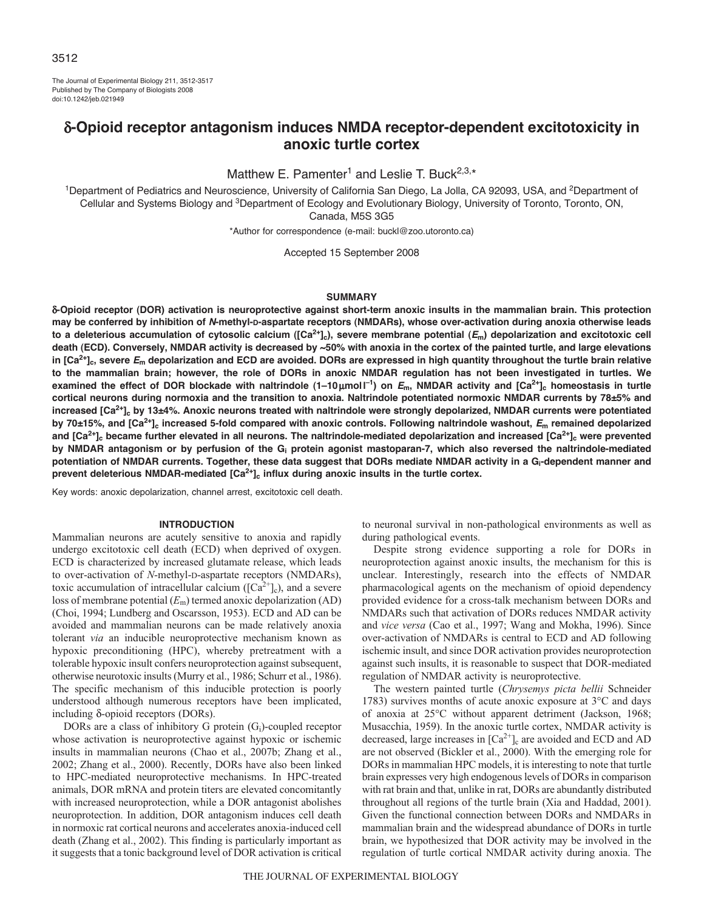The Journal of Experimental Biology 211, 3512-3517 Published by The Company of Biologists 2008 doi:10.1242/jeb.021949

# δ**-Opioid receptor antagonism induces NMDA receptor-dependent excitotoxicity in anoxic turtle cortex**

Matthew E. Pamenter<sup>1</sup> and Leslie T. Buck<sup>2,3,\*</sup>

<sup>1</sup>Department of Pediatrics and Neuroscience, University of California San Diego, La Jolla, CA 92093, USA, and <sup>2</sup>Department of Cellular and Systems Biology and 3Department of Ecology and Evolutionary Biology, University of Toronto, Toronto, ON, Canada, M5S 3G5

\*Author for correspondence (e-mail: buckl@zoo.utoronto.ca)

Accepted 15 September 2008

#### **SUMMARY**

δ**-Opioid receptor (DOR) activation is neuroprotective against short-term anoxic insults in the mammalian brain. This protection may be conferred by inhibition of** *N***-methyl-D-aspartate receptors (NMDARs), whose over-activation during anoxia otherwise leads to a deleterious accumulation of cytosolic calcium ([Ca2+]c), severe membrane potential (***E***m) depolarization and excitotoxic cell death (ECD). Conversely, NMDAR activity is decreased by ~50% with anoxia in the cortex of the painted turtle, and large elevations in [Ca2+]c, severe** *E***<sup>m</sup> depolarization and ECD are avoided. DORs are expressed in high quantity throughout the turtle brain relative to the mammalian brain; however, the role of DORs in anoxic NMDAR regulation has not been investigated in turtles. We examined the effect of DOR blockade with naltrindole**  $(1-10\mu moll^{-1})$  **on**  $E_m$ **, NMDAR activity and**  $[Ca^{2+1}]_c$  **homeostasis in turtle cortical neurons during normoxia and the transition to anoxia. Naltrindole potentiated normoxic NMDAR currents by 78±5% and** increased [Ca<sup>2+</sup>]<sub>c</sub> by 13±4%. Anoxic neurons treated with naltrindole were strongly depolarized, NMDAR currents were potentiated **by 70±15%, and [Ca2+]c increased 5-fold compared with anoxic controls. Following naltrindole washout,** *E***<sup>m</sup> remained depolarized** and [Ca<sup>2+</sup>]<sub>c</sub> became further elevated in all neurons. The naltrindole-mediated depolarization and increased [Ca<sup>2+</sup>]<sub>c</sub> were prevented **by NMDAR antagonism or by perfusion of the Gi protein agonist mastoparan-7, which also reversed the naltrindole-mediated potentiation of NMDAR currents. Together, these data suggest that DORs mediate NMDAR activity in a Gi-dependent manner and** prevent deleterious NMDAR-mediated [Ca<sup>2+</sup>]<sub>c</sub> influx during anoxic insults in the turtle cortex.

Key words: anoxic depolarization, channel arrest, excitotoxic cell death.

#### **INTRODUCTION**

Mammalian neurons are acutely sensitive to anoxia and rapidly undergo excitotoxic cell death (ECD) when deprived of oxygen. ECD is characterized by increased glutamate release, which leads to over-activation of *N*-methyl-D-aspartate receptors (NMDARs), toxic accumulation of intracellular calcium ( $[Ca^{2+}]_c$ ), and a severe loss of membrane potential (*E*m) termed anoxic depolarization (AD) (Choi, 1994; Lundberg and Oscarsson, 1953). ECD and AD can be avoided and mammalian neurons can be made relatively anoxia tolerant *via* an inducible neuroprotective mechanism known as hypoxic preconditioning (HPC), whereby pretreatment with a tolerable hypoxic insult confers neuroprotection against subsequent, otherwise neurotoxic insults (Murry et al., 1986; Schurr et al., 1986). The specific mechanism of this inducible protection is poorly understood although numerous receptors have been implicated, including δ-opioid receptors (DORs).

DORs are a class of inhibitory G protein (Gi)-coupled receptor whose activation is neuroprotective against hypoxic or ischemic insults in mammalian neurons (Chao et al., 2007b; Zhang et al., 2002; Zhang et al., 2000). Recently, DORs have also been linked to HPC-mediated neuroprotective mechanisms. In HPC-treated animals, DOR mRNA and protein titers are elevated concomitantly with increased neuroprotection, while a DOR antagonist abolishes neuroprotection. In addition, DOR antagonism induces cell death in normoxic rat cortical neurons and accelerates anoxia-induced cell death (Zhang et al., 2002). This finding is particularly important as it suggests that a tonic background level of DOR activation is critical to neuronal survival in non-pathological environments as well as during pathological events.

Despite strong evidence supporting a role for DORs in neuroprotection against anoxic insults, the mechanism for this is unclear. Interestingly, research into the effects of NMDAR pharmacological agents on the mechanism of opioid dependency provided evidence for a cross-talk mechanism between DORs and NMDARs such that activation of DORs reduces NMDAR activity and *vice versa* (Cao et al., 1997; Wang and Mokha, 1996). Since over-activation of NMDARs is central to ECD and AD following ischemic insult, and since DOR activation provides neuroprotection against such insults, it is reasonable to suspect that DOR-mediated regulation of NMDAR activity is neuroprotective.

The western painted turtle (*Chrysemys picta bellii* Schneider 1783) survives months of acute anoxic exposure at 3°C and days of anoxia at 25°C without apparent detriment (Jackson, 1968; Musacchia, 1959). In the anoxic turtle cortex, NMDAR activity is decreased, large increases in  $\lceil Ca^{2+} \rceil_c$  are avoided and ECD and AD are not observed (Bickler et al., 2000). With the emerging role for DORs in mammalian HPC models, it is interesting to note that turtle brain expresses very high endogenous levels of DORs in comparison with rat brain and that, unlike in rat, DORs are abundantly distributed throughout all regions of the turtle brain (Xia and Haddad, 2001). Given the functional connection between DORs and NMDARs in mammalian brain and the widespread abundance of DORs in turtle brain, we hypothesized that DOR activity may be involved in the regulation of turtle cortical NMDAR activity during anoxia. The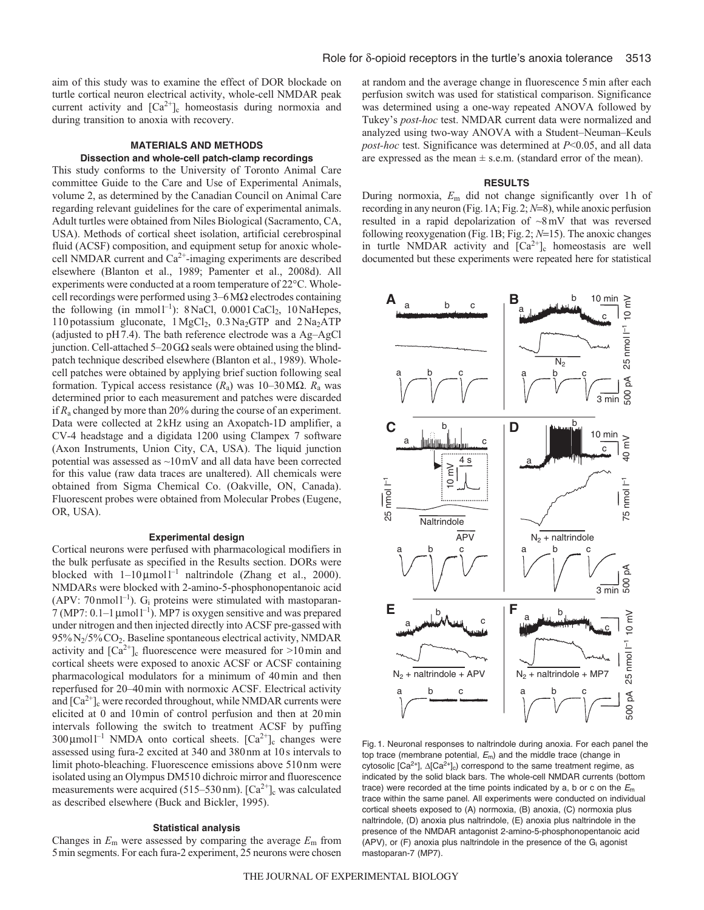aim of this study was to examine the effect of DOR blockade on turtle cortical neuron electrical activity, whole-cell NMDAR peak current activity and  $[Ca^{2+}]_c$  homeostasis during normoxia and during transition to anoxia with recovery.

## **MATERIALS AND METHODS Dissection and whole-cell patch-clamp recordings**

This study conforms to the University of Toronto Animal Care committee Guide to the Care and Use of Experimental Animals, volume 2, as determined by the Canadian Council on Animal Care regarding relevant guidelines for the care of experimental animals. Adult turtles were obtained from Niles Biological (Sacramento, CA, USA). Methods of cortical sheet isolation, artificial cerebrospinal fluid (ACSF) composition, and equipment setup for anoxic wholecell NMDAR current and  $Ca^{2+}$ -imaging experiments are described elsewhere (Blanton et al., 1989; Pamenter et al., 2008d). All experiments were conducted at a room temperature of 22°C. Wholecell recordings were performed using 3–6MΩ electrodes containing the following (in mmol<sup>1-1</sup>): 8NaCl, 0.0001 CaCl<sub>2</sub>, 10NaHepes, 110 potassium gluconate,  $1 \text{MgCl}_2$ ,  $0.3 \text{Na}_2$ GTP and  $2 \text{Na}_2$ ATP (adjusted to pH7.4). The bath reference electrode was a Ag–AgCl junction. Cell-attached 5–20GΩ seals were obtained using the blindpatch technique described elsewhere (Blanton et al., 1989). Wholecell patches were obtained by applying brief suction following seal formation. Typical access resistance  $(R_a)$  was 10–30 M $\Omega$ .  $R_a$  was determined prior to each measurement and patches were discarded if *R*<sup>a</sup> changed by more than 20% during the course of an experiment. Data were collected at 2kHz using an Axopatch-1D amplifier, a CV-4 headstage and a digidata 1200 using Clampex 7 software (Axon Instruments, Union City, CA, USA). The liquid junction potential was assessed as ~10mV and all data have been corrected for this value (raw data traces are unaltered). All chemicals were obtained from Sigma Chemical Co. (Oakville, ON, Canada). Fluorescent probes were obtained from Molecular Probes (Eugene, OR, USA).

#### **Experimental design**

Cortical neurons were perfused with pharmacological modifiers in the bulk perfusate as specified in the Results section. DORs were blocked with  $1-10 \mu$ mol  $l^{-1}$  naltrindole (Zhang et al., 2000). NMDARs were blocked with 2-amino-5-phosphonopentanoic acid (APV: 70 nmol  $1^{-1}$ ). G<sub>i</sub> proteins were stimulated with mastoparan-7 (MP7: 0.1–1  $\mu$ mol1<sup>-1</sup>). MP7 is oxygen sensitive and was prepared under nitrogen and then injected directly into ACSF pre-gassed with 95%N2/5%CO2. Baseline spontaneous electrical activity, NMDAR activity and  $\lceil Ca^{2+} \rceil_c$  fluorescence were measured for >10 min and cortical sheets were exposed to anoxic ACSF or ACSF containing pharmacological modulators for a minimum of 40min and then reperfused for 20–40min with normoxic ACSF. Electrical activity and  $\lceil Ca^{2+} \rceil_c$  were recorded throughout, while NMDAR currents were elicited at 0 and 10min of control perfusion and then at 20min intervals following the switch to treatment ACSF by puffing  $300 \mu$ moll<sup>-1</sup> NMDA onto cortical sheets. [Ca<sup>2+</sup>]<sub>c</sub> changes were assessed using fura-2 excited at 340 and 380nm at 10s intervals to limit photo-bleaching. Fluorescence emissions above 510nm were isolated using an Olympus DM510 dichroic mirror and fluorescence measurements were acquired (515–530 nm).  $[Ca<sup>2+</sup>]_{c}$  was calculated as described elsewhere (Buck and Bickler, 1995).

#### **Statistical analysis**

Changes in *E*<sup>m</sup> were assessed by comparing the average *E*<sup>m</sup> from 5min segments. For each fura-2 experiment, 25 neurons were chosen at random and the average change in fluorescence 5min after each perfusion switch was used for statistical comparison. Significance was determined using a one-way repeated ANOVA followed by Tukey's *post-hoc* test. NMDAR current data were normalized and analyzed using two-way ANOVA with a Student–Neuman–Keuls *post-hoc* test. Significance was determined at *P*<0.05, and all data are expressed as the mean  $\pm$  s.e.m. (standard error of the mean).

#### **RESULTS**

During normoxia, *E*<sup>m</sup> did not change significantly over 1h of recording in any neuron (Fig.1A; Fig.2; *N*=8), while anoxic perfusion resulted in a rapid depolarization of  $\sim 8 \text{ mV}$  that was reversed following reoxygenation (Fig.1B; Fig.2; *N*=15). The anoxic changes in turtle NMDAR activity and  $[Ca^{2+}]_c$  homeostasis are well documented but these experiments were repeated here for statistical



Fig. 1. Neuronal responses to naltrindole during anoxia. For each panel the top trace (membrane potential,  $E_m$ ) and the middle trace (change in cytosolic [Ca<sup>2+</sup>],  $\Delta$ [Ca<sup>2+</sup>]<sub>c</sub>) correspond to the same treatment regime, as indicated by the solid black bars. The whole-cell NMDAR currents (bottom trace) were recorded at the time points indicated by a, b or c on the  $E<sub>m</sub>$ trace within the same panel. All experiments were conducted on individual cortical sheets exposed to (A) normoxia, (B) anoxia, (C) normoxia plus naltrindole, (D) anoxia plus naltrindole, (E) anoxia plus naltrindole in the presence of the NMDAR antagonist 2-amino-5-phosphonopentanoic acid (APV), or (F) anoxia plus naltrindole in the presence of the  $G_i$  agonist mastoparan-7 (MP7).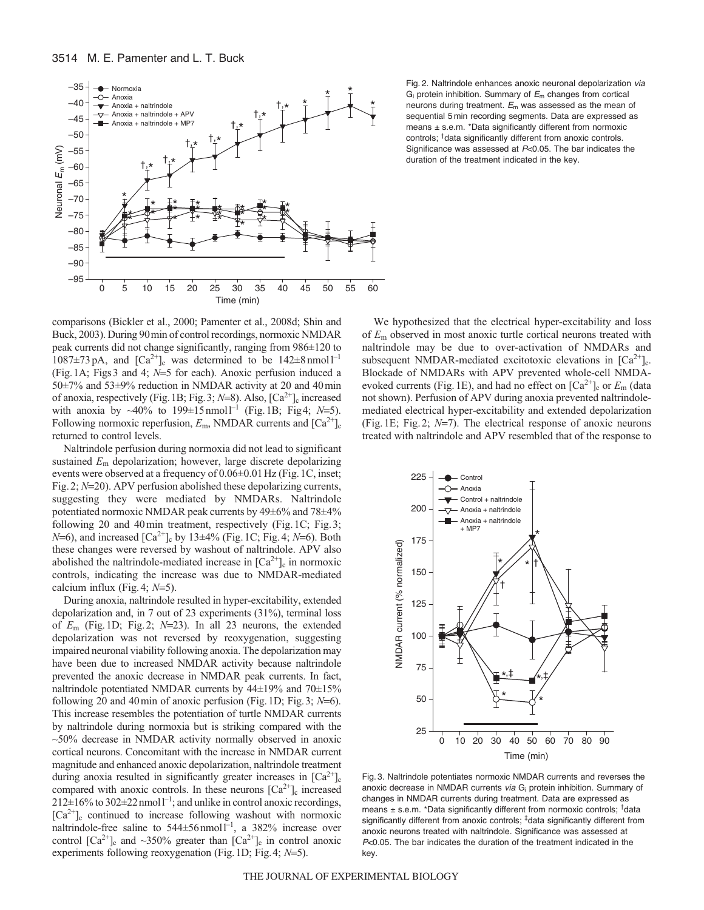

Fig. 2. Naltrindole enhances anoxic neuronal depolarization via  $G_i$  protein inhibition. Summary of  $E_m$  changes from cortical neurons during treatment.  $E_m$  was assessed as the mean of sequential 5 min recording segments. Data are expressed as means ± s.e.m. \*Data significantly different from normoxic controls; †data significantly different from anoxic controls. Significance was assessed at P<0.05. The bar indicates the duration of the treatment indicated in the key.

comparisons (Bickler et al., 2000; Pamenter et al., 2008d; Shin and Buck, 2003). During 90min of control recordings, normoxic NMDAR peak currents did not change significantly, ranging from 986±120 to  $1087\pm73$  pA, and  $\left[\text{Ca}^{2+}\right]_{c}$  was determined to be  $142\pm8$  nmol  $\left[\text{Ca}^{2+}\right]_{c}$ (Fig.1A; Figs3 and 4; *N*=5 for each). Anoxic perfusion induced a 50±7% and 53±9% reduction in NMDAR activity at 20 and 40min of anoxia, respectively (Fig. 1B; Fig. 3;  $N=8$ ). Also,  $[Ca^{2+}]_c$  increased with anoxia by  $\sim$ 40% to 199±15nmol<sup>1-1</sup> (Fig.1B; Fig.4; *N*=5). Following normoxic reperfusion,  $E_{\text{m}}$ , NMDAR currents and  $\text{[Ca}^{2+}\text{]}_{\text{c}}$ returned to control levels.

Naltrindole perfusion during normoxia did not lead to significant sustained *E*<sup>m</sup> depolarization; however, large discrete depolarizing events were observed at a frequency of 0.06±0.01Hz (Fig.1C, inset; Fig.2; *N*=20). APV perfusion abolished these depolarizing currents, suggesting they were mediated by NMDARs. Naltrindole potentiated normoxic NMDAR peak currents by 49±6% and 78±4% following 20 and 40min treatment, respectively (Fig.1C; Fig.3; *N*=6), and increased  $[Ca^{2+}]_c$  by 13±4% (Fig.1C; Fig.4; *N*=6). Both these changes were reversed by washout of naltrindole. APV also abolished the naltrindole-mediated increase in  $[Ca^{2+}]_c$  in normoxic controls, indicating the increase was due to NMDAR-mediated calcium influx (Fig.4; *N*=5).

During anoxia, naltrindole resulted in hyper-excitability, extended depolarization and, in 7 out of 23 experiments (31%), terminal loss of *E*<sup>m</sup> (Fig.1D; Fig.2; *N*=23). In all 23 neurons, the extended depolarization was not reversed by reoxygenation, suggesting impaired neuronal viability following anoxia. The depolarization may have been due to increased NMDAR activity because naltrindole prevented the anoxic decrease in NMDAR peak currents. In fact, naltrindole potentiated NMDAR currents by 44±19% and 70±15% following 20 and 40min of anoxic perfusion (Fig.1D; Fig.3; *N*=6). This increase resembles the potentiation of turtle NMDAR currents by naltrindole during normoxia but is striking compared with the  $~50\%$  decrease in NMDAR activity normally observed in anoxic cortical neurons. Concomitant with the increase in NMDAR current magnitude and enhanced anoxic depolarization, naltrindole treatment during anoxia resulted in significantly greater increases in  $[Ca^{2+}]_c$ compared with anoxic controls. In these neurons  $[Ca^{2+}]_c$  increased  $212\pm16\%$  to  $302\pm22$  nmol  $1^{-1}$ ; and unlike in control anoxic recordings,  $[Ca^{2+}]_c$  continued to increase following washout with normoxic naltrindole-free saline to  $544 \pm 56$  nmol  $1^{-1}$ , a  $382\%$  increase over control  $[Ca^{2+}]_c$  and ~350% greater than  $[Ca^{2+}]_c$  in control anoxic experiments following reoxygenation (Fig.1D; Fig.4; *N*=5).

We hypothesized that the electrical hyper-excitability and loss of *E*<sup>m</sup> observed in most anoxic turtle cortical neurons treated with naltrindole may be due to over-activation of NMDARs and subsequent NMDAR-mediated excitotoxic elevations in  $[Ca^{2+}]_c$ . Blockade of NMDARs with APV prevented whole-cell NMDAevoked currents (Fig. 1E), and had no effect on  $\lceil Ca^{2+} \rceil_c$  or  $E_m$  (data not shown). Perfusion of APV during anoxia prevented naltrindolemediated electrical hyper-excitability and extended depolarization (Fig.1E; Fig.2; *N*=7). The electrical response of anoxic neurons treated with naltrindole and APV resembled that of the response to



Fig. 3. Naltrindole potentiates normoxic NMDAR currents and reverses the anoxic decrease in NMDAR currents via G<sub>i</sub> protein inhibition. Summary of changes in NMDAR currents during treatment. Data are expressed as means ± s.e.m. \*Data significantly different from normoxic controls; †data significantly different from anoxic controls; ‡data significantly different from anoxic neurons treated with naltrindole. Significance was assessed at P<0.05. The bar indicates the duration of the treatment indicated in the key.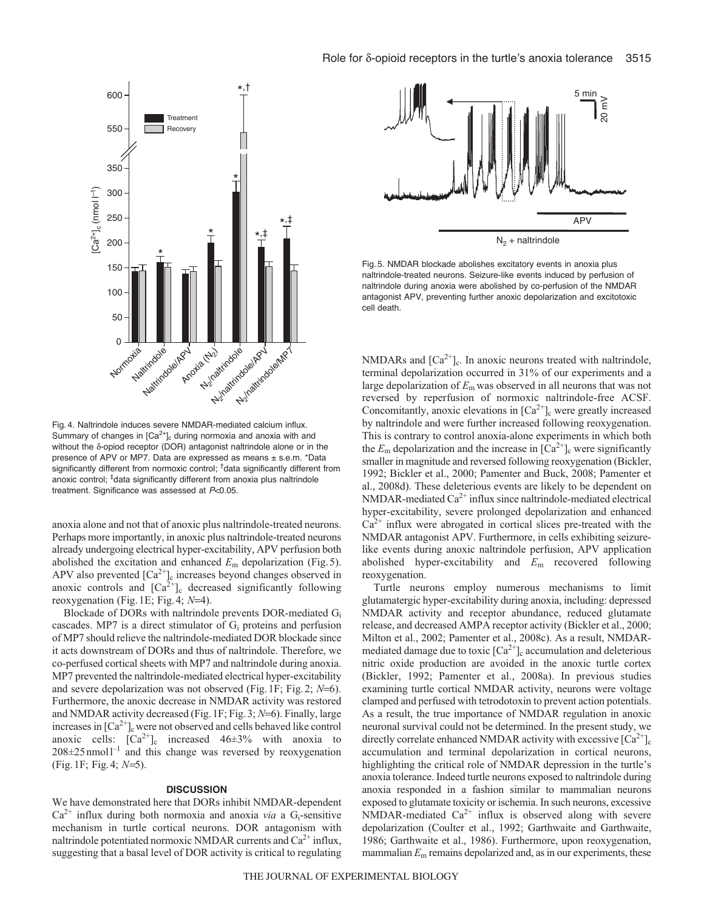

Fig. 4. Naltrindole induces severe NMDAR-mediated calcium influx. Summary of changes in  $[Ca<sup>2+</sup>]_{c}$  during normoxia and anoxia with and without the δ-opiod receptor (DOR) antagonist naltrindole alone or in the presence of APV or MP7. Data are expressed as means ± s.e.m. \*Data significantly different from normoxic control; <sup>†</sup>data significantly different from anoxic control; <sup>‡</sup>data significantly different from anoxia plus naltrindole treatment. Significance was assessed at P<0.05.

anoxia alone and not that of anoxic plus naltrindole-treated neurons. Perhaps more importantly, in anoxic plus naltrindole-treated neurons already undergoing electrical hyper-excitability, APV perfusion both abolished the excitation and enhanced *E*<sup>m</sup> depolarization (Fig.5). APV also prevented  $[Ca^{2+}]_c$  increases beyond changes observed in anoxic controls and  $[Ca^{2+}]_c$  decreased significantly following reoxygenation (Fig.1E; Fig.4; *N*=4).

Blockade of DORs with naltrindole prevents DOR-mediated Gi cascades. MP7 is a direct stimulator of  $G<sub>i</sub>$  proteins and perfusion of MP7 should relieve the naltrindole-mediated DOR blockade since it acts downstream of DORs and thus of naltrindole. Therefore, we co-perfused cortical sheets with MP7 and naltrindole during anoxia. MP7 prevented the naltrindole-mediated electrical hyper-excitability and severe depolarization was not observed (Fig.1F; Fig.2; *N*=6). Furthermore, the anoxic decrease in NMDAR activity was restored and NMDAR activity decreased (Fig.1F; Fig.3; *N*=6). Finally, large increases in  $[Ca^{2+}]_c$  were not observed and cells behaved like control anoxic cells:  $[Ca^{2+}]_c$  increased  $46\pm3\%$  with anoxia to  $208 \pm 25$  nmoll<sup>-1</sup> and this change was reversed by reoxygenation (Fig.1F; Fig.4; *N*=5).

### **DISCUSSION**

We have demonstrated here that DORs inhibit NMDAR-dependent  $Ca^{2+}$  influx during both normoxia and anoxia *via* a G<sub>i</sub>-sensitive mechanism in turtle cortical neurons. DOR antagonism with naltrindole potentiated normoxic NMDAR currents and  $Ca<sup>2+</sup>$  influx, suggesting that a basal level of DOR activity is critical to regulating



Fig. 5. NMDAR blockade abolishes excitatory events in anoxia plus naltrindole-treated neurons. Seizure-like events induced by perfusion of naltrindole during anoxia were abolished by co-perfusion of the NMDAR antagonist APV, preventing further anoxic depolarization and excitotoxic cell death.

NMDARs and  $[Ca^{2+}]_c$ . In anoxic neurons treated with naltrindole, terminal depolarization occurred in 31% of our experiments and a large depolarization of *E*<sup>m</sup> was observed in all neurons that was not reversed by reperfusion of normoxic naltrindole-free ACSF. Concomitantly, anoxic elevations in  $[Ca^{2+}]_c$  were greatly increased by naltrindole and were further increased following reoxygenation. This is contrary to control anoxia-alone experiments in which both the  $E_m$  depolarization and the increase in  $[Ca^{2+}]_c$  were significantly smaller in magnitude and reversed following reoxygenation (Bickler, 1992; Bickler et al., 2000; Pamenter and Buck, 2008; Pamenter et al., 2008d). These deleterious events are likely to be dependent on NMDAR-mediated  $Ca^{2+}$  influx since naltrindole-mediated electrical hyper-excitability, severe prolonged depolarization and enhanced  $Ca<sup>2+</sup>$  influx were abrogated in cortical slices pre-treated with the NMDAR antagonist APV. Furthermore, in cells exhibiting seizurelike events during anoxic naltrindole perfusion, APV application abolished hyper-excitability and *E*<sup>m</sup> recovered following reoxygenation.

Turtle neurons employ numerous mechanisms to limit glutamatergic hyper-excitability during anoxia, including: depressed NMDAR activity and receptor abundance, reduced glutamate release, and decreased AMPA receptor activity (Bickler et al., 2000; Milton et al., 2002; Pamenter et al., 2008c). As a result, NMDARmediated damage due to toxic  $\left[Ca^{2+}\right]$ <sub>c</sub> accumulation and deleterious nitric oxide production are avoided in the anoxic turtle cortex (Bickler, 1992; Pamenter et al., 2008a). In previous studies examining turtle cortical NMDAR activity, neurons were voltage clamped and perfused with tetrodotoxin to prevent action potentials. As a result, the true importance of NMDAR regulation in anoxic neuronal survival could not be determined. In the present study, we directly correlate enhanced NMDAR activity with excessive  $\lceil Ca^{2+} \rceil_c$ accumulation and terminal depolarization in cortical neurons, highlighting the critical role of NMDAR depression in the turtle's anoxia tolerance. Indeed turtle neurons exposed to naltrindole during anoxia responded in a fashion similar to mammalian neurons exposed to glutamate toxicity or ischemia. In such neurons, excessive NMDAR-mediated  $Ca^{2+}$  influx is observed along with severe depolarization (Coulter et al., 1992; Garthwaite and Garthwaite, 1986; Garthwaite et al., 1986). Furthermore, upon reoxygenation, mammalian  $E<sub>m</sub>$  remains depolarized and, as in our experiments, these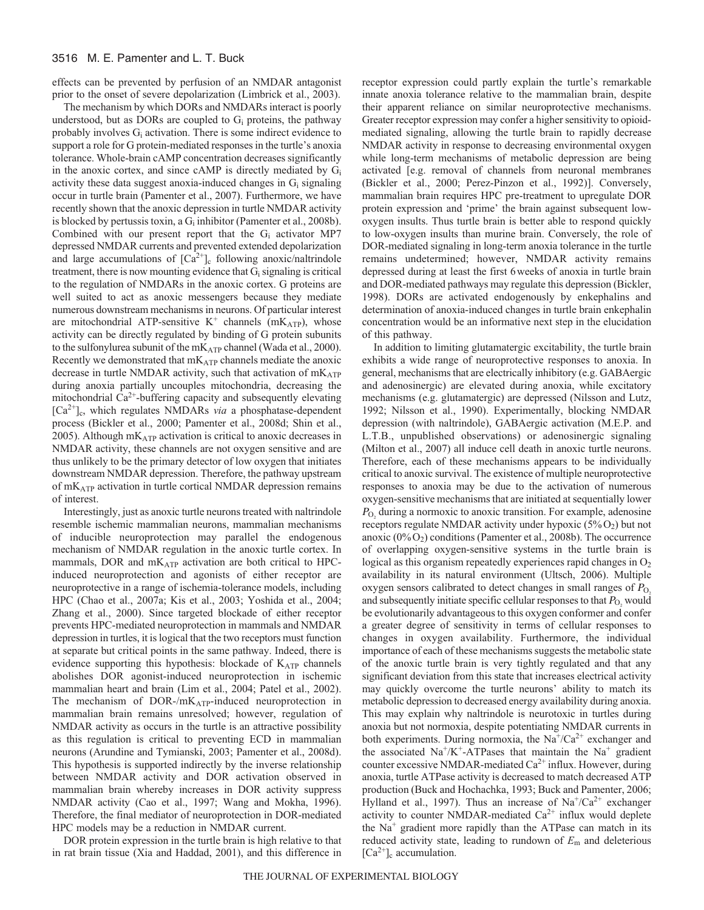effects can be prevented by perfusion of an NMDAR antagonist prior to the onset of severe depolarization (Limbrick et al., 2003).

The mechanism by which DORs and NMDARs interact is poorly understood, but as DORs are coupled to  $G<sub>i</sub>$  proteins, the pathway probably involves  $G_i$  activation. There is some indirect evidence to support a role for G protein-mediated responses in the turtle's anoxia tolerance. Whole-brain cAMP concentration decreases significantly in the anoxic cortex, and since cAMP is directly mediated by Gi activity these data suggest anoxia-induced changes in  $G_i$  signaling occur in turtle brain (Pamenter et al., 2007). Furthermore, we have recently shown that the anoxic depression in turtle NMDAR activity is blocked by pertussis toxin, a  $G_i$  inhibitor (Pamenter et al., 2008b). Combined with our present report that the Gi activator MP7 depressed NMDAR currents and prevented extended depolarization and large accumulations of  $[Ca^{2+}]_c$  following anoxic/naltrindole treatment, there is now mounting evidence that  $G_i$  signaling is critical to the regulation of NMDARs in the anoxic cortex. G proteins are well suited to act as anoxic messengers because they mediate numerous downstream mechanisms in neurons. Of particular interest are mitochondrial ATP-sensitive  $K^+$  channels (m $K_{ATP}$ ), whose activity can be directly regulated by binding of G protein subunits to the sulfonylurea subunit of the mKATP channel (Wada et al., 2000). Recently we demonstrated that  $mK_{ATP}$  channels mediate the anoxic decrease in turtle NMDAR activity, such that activation of mKATP during anoxia partially uncouples mitochondria, decreasing the mitochondrial  $Ca^{2+}$ -buffering capacity and subsequently elevating [Ca<sup>2+</sup>]<sub>c</sub>, which regulates NMDARs *via* a phosphatase-dependent process (Bickler et al., 2000; Pamenter et al., 2008d; Shin et al., 2005). Although  $mK_{ATP}$  activation is critical to anoxic decreases in NMDAR activity, these channels are not oxygen sensitive and are thus unlikely to be the primary detector of low oxygen that initiates downstream NMDAR depression. Therefore, the pathway upstream of mKATP activation in turtle cortical NMDAR depression remains of interest.

Interestingly, just as anoxic turtle neurons treated with naltrindole resemble ischemic mammalian neurons, mammalian mechanisms of inducible neuroprotection may parallel the endogenous mechanism of NMDAR regulation in the anoxic turtle cortex. In mammals, DOR and  $mK_{ATP}$  activation are both critical to HPCinduced neuroprotection and agonists of either receptor are neuroprotective in a range of ischemia-tolerance models, including HPC (Chao et al., 2007a; Kis et al., 2003; Yoshida et al., 2004; Zhang et al., 2000). Since targeted blockade of either receptor prevents HPC-mediated neuroprotection in mammals and NMDAR depression in turtles, it is logical that the two receptors must function at separate but critical points in the same pathway. Indeed, there is evidence supporting this hypothesis: blockade of  $K_{ATP}$  channels abolishes DOR agonist-induced neuroprotection in ischemic mammalian heart and brain (Lim et al., 2004; Patel et al., 2002). The mechanism of DOR-/mK<sub>ATP</sub>-induced neuroprotection in mammalian brain remains unresolved; however, regulation of NMDAR activity as occurs in the turtle is an attractive possibility as this regulation is critical to preventing ECD in mammalian neurons (Arundine and Tymianski, 2003; Pamenter et al., 2008d). This hypothesis is supported indirectly by the inverse relationship between NMDAR activity and DOR activation observed in mammalian brain whereby increases in DOR activity suppress NMDAR activity (Cao et al., 1997; Wang and Mokha, 1996). Therefore, the final mediator of neuroprotection in DOR-mediated HPC models may be a reduction in NMDAR current.

DOR protein expression in the turtle brain is high relative to that in rat brain tissue (Xia and Haddad, 2001), and this difference in receptor expression could partly explain the turtle's remarkable innate anoxia tolerance relative to the mammalian brain, despite their apparent reliance on similar neuroprotective mechanisms. Greater receptor expression may confer a higher sensitivity to opioidmediated signaling, allowing the turtle brain to rapidly decrease NMDAR activity in response to decreasing environmental oxygen while long-term mechanisms of metabolic depression are being activated [e.g. removal of channels from neuronal membranes (Bickler et al., 2000; Perez-Pinzon et al., 1992)]. Conversely, mammalian brain requires HPC pre-treatment to upregulate DOR protein expression and 'prime' the brain against subsequent lowoxygen insults. Thus turtle brain is better able to respond quickly to low-oxygen insults than murine brain. Conversely, the role of DOR-mediated signaling in long-term anoxia tolerance in the turtle remains undetermined; however, NMDAR activity remains depressed during at least the first 6weeks of anoxia in turtle brain and DOR-mediated pathways may regulate this depression (Bickler, 1998). DORs are activated endogenously by enkephalins and determination of anoxia-induced changes in turtle brain enkephalin concentration would be an informative next step in the elucidation of this pathway.

In addition to limiting glutamatergic excitability, the turtle brain exhibits a wide range of neuroprotective responses to anoxia. In general, mechanisms that are electrically inhibitory (e.g. GABAergic and adenosinergic) are elevated during anoxia, while excitatory mechanisms (e.g. glutamatergic) are depressed (Nilsson and Lutz, 1992; Nilsson et al., 1990). Experimentally, blocking NMDAR depression (with naltrindole), GABAergic activation (M.E.P. and L.T.B., unpublished observations) or adenosinergic signaling (Milton et al., 2007) all induce cell death in anoxic turtle neurons. Therefore, each of these mechanisms appears to be individually critical to anoxic survival. The existence of multiple neuroprotective responses to anoxia may be due to the activation of numerous oxygen-sensitive mechanisms that are initiated at sequentially lower  $P_{\text{O}_2}$  during a normoxic to anoxic transition. For example, adenosine receptors regulate NMDAR activity under hypoxic  $(5\%O_2)$  but not anoxic  $(0\% O_2)$  conditions (Pamenter et al., 2008b). The occurrence of overlapping oxygen-sensitive systems in the turtle brain is logical as this organism repeatedly experiences rapid changes in  $O<sub>2</sub>$ availability in its natural environment (Ultsch, 2006). Multiple oxygen sensors calibrated to detect changes in small ranges of  $P_{\text{O}_2}$ and subsequently initiate specific cellular responses to that  $P_{\text{O}_2}$  would be evolutionarily advantageous to this oxygen conformer and confer a greater degree of sensitivity in terms of cellular responses to changes in oxygen availability. Furthermore, the individual importance of each of these mechanisms suggests the metabolic state of the anoxic turtle brain is very tightly regulated and that any significant deviation from this state that increases electrical activity may quickly overcome the turtle neurons' ability to match its metabolic depression to decreased energy availability during anoxia. This may explain why naltrindole is neurotoxic in turtles during anoxia but not normoxia, despite potentiating NMDAR currents in both experiments. During normoxia, the  $Na^+/Ca^{2+}$  exchanger and the associated  $Na^{+}/K^{+}$ -ATPases that maintain the Na<sup>+</sup> gradient counter excessive NMDAR-mediated  $Ca^{2+}$  influx. However, during anoxia, turtle ATPase activity is decreased to match decreased ATP production (Buck and Hochachka, 1993; Buck and Pamenter, 2006; Hylland et al., 1997). Thus an increase of  $Na<sup>+</sup>/Ca<sup>2+</sup>$  exchanger activity to counter NMDAR-mediated  $Ca^{2+}$  influx would deplete the  $Na<sup>+</sup>$  gradient more rapidly than the ATPase can match in its reduced activity state, leading to rundown of *E*<sup>m</sup> and deleterious  $[Ca^{2+}]_c$  accumulation.